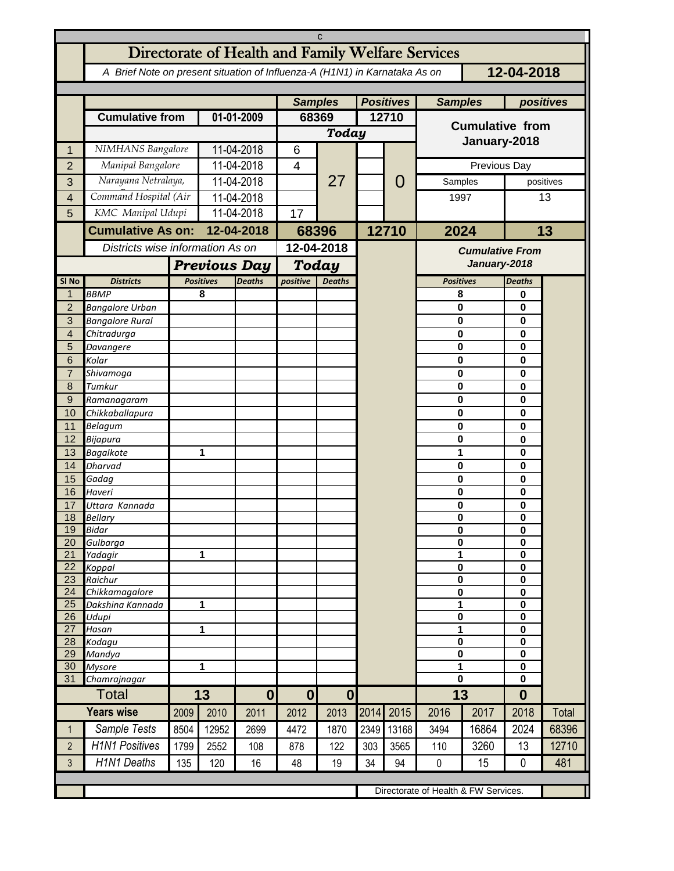| C                       |                                                                                          |                     |                                   |                  |                                  |            |                  |       |                        |                                      |                             |       |  |
|-------------------------|------------------------------------------------------------------------------------------|---------------------|-----------------------------------|------------------|----------------------------------|------------|------------------|-------|------------------------|--------------------------------------|-----------------------------|-------|--|
|                         | Directorate of Health and Family Welfare Services                                        |                     |                                   |                  |                                  |            |                  |       |                        |                                      |                             |       |  |
|                         | 12-04-2018<br>A Brief Note on present situation of Influenza-A (H1N1) in Karnataka As on |                     |                                   |                  |                                  |            |                  |       |                        |                                      |                             |       |  |
|                         |                                                                                          |                     |                                   |                  | <b>Samples</b>                   |            | <b>Positives</b> |       | <b>Samples</b>         | positives                            |                             |       |  |
|                         | <b>Cumulative from</b>                                                                   |                     | 01-01-2009                        |                  | 68369                            |            | 12710            |       |                        |                                      |                             |       |  |
|                         |                                                                                          |                     |                                   |                  | Today                            |            |                  |       | <b>Cumulative from</b> |                                      |                             |       |  |
| 1                       | NIMHANS Bangalore                                                                        |                     | 11-04-2018                        |                  | 6                                |            |                  |       | January-2018           |                                      |                             |       |  |
| $\overline{2}$          | Manipal Bangalore                                                                        |                     | 11-04-2018                        |                  | $\overline{\mathbf{4}}$          |            |                  | O     | Previous Day           |                                      |                             |       |  |
| 3                       | Narayana Netralaya,                                                                      |                     | 11-04-2018                        |                  |                                  | 27         |                  |       | Samples                | positives                            |                             |       |  |
| $\overline{\mathbf{4}}$ | Command Hospital (Air                                                                    |                     | 11-04-2018                        |                  |                                  |            |                  |       | 1997                   |                                      | 13                          |       |  |
| 5                       | KMC Manipal Udupi                                                                        |                     | 11-04-2018                        |                  | 17                               |            |                  |       |                        |                                      |                             |       |  |
|                         | <b>Cumulative As on:</b>                                                                 |                     | 12-04-2018                        |                  | 68396                            |            |                  | 12710 | 2024                   |                                      | 13                          |       |  |
|                         |                                                                                          |                     | Districts wise information As on  |                  |                                  | 12-04-2018 |                  |       |                        | <b>Cumulative From</b>               |                             |       |  |
|                         |                                                                                          | <b>Previous Day</b> |                                   |                  | Today                            |            |                  |       |                        | January-2018                         |                             |       |  |
| SI <sub>No</sub>        | <b>Districts</b>                                                                         |                     | <b>Positives</b><br><b>Deaths</b> |                  | positive<br><b>Deaths</b>        |            |                  |       | <b>Positives</b>       |                                      | <b>Deaths</b>               |       |  |
| $\mathbf 1$             | <b>BBMP</b>                                                                              |                     | 8                                 |                  |                                  |            |                  |       | 8                      |                                      | 0                           |       |  |
| $\overline{c}$          | <b>Bangalore Urban</b>                                                                   |                     |                                   |                  |                                  |            |                  |       | 0                      |                                      | 0                           |       |  |
| 3<br>$\overline{4}$     | <b>Bangalore Rural</b>                                                                   |                     |                                   |                  |                                  |            |                  |       | 0                      |                                      | $\mathbf 0$                 |       |  |
| 5                       | Chitradurga<br>Davangere                                                                 |                     |                                   |                  |                                  |            |                  |       | 0<br>0                 | 0<br>$\mathbf 0$                     |                             |       |  |
| 6                       | Kolar                                                                                    |                     |                                   |                  |                                  |            |                  |       | 0                      |                                      | $\mathbf{0}$                |       |  |
| $\overline{7}$          | Shivamoga                                                                                |                     |                                   |                  |                                  |            |                  |       | 0                      | $\mathbf 0$                          |                             |       |  |
| 8                       | Tumkur                                                                                   |                     |                                   |                  |                                  |            |                  |       | 0                      |                                      | $\mathbf{0}$                |       |  |
| $\mathsf 9$<br>10       | Ramanagaram                                                                              |                     |                                   |                  |                                  |            |                  |       | 0<br>0                 |                                      | $\mathbf 0$<br>$\mathbf{0}$ |       |  |
| 11                      | Chikkaballapura<br>Belagum                                                               |                     |                                   |                  |                                  |            |                  |       | 0                      |                                      | $\mathbf 0$                 |       |  |
| 12                      | Bijapura                                                                                 |                     |                                   |                  |                                  |            |                  |       | 0                      |                                      | $\mathbf 0$                 |       |  |
| 13                      | <b>Bagalkote</b>                                                                         |                     | 1                                 |                  |                                  |            |                  |       | 1                      |                                      | $\mathbf 0$                 |       |  |
| 14                      | Dharvad                                                                                  |                     |                                   |                  |                                  |            |                  |       | 0                      |                                      | $\mathbf 0$                 |       |  |
| 15<br>16                | Gadag<br>Haveri                                                                          |                     |                                   |                  |                                  |            |                  |       | 0<br>0                 |                                      | $\mathbf 0$<br>0            |       |  |
| 17                      | Uttara Kannada                                                                           |                     |                                   |                  |                                  |            |                  |       | 0                      |                                      | 0                           |       |  |
| 18                      | <b>Bellarv</b>                                                                           |                     |                                   |                  |                                  |            |                  |       | $\mathbf 0$            |                                      | $\bf{0}$                    |       |  |
| 19                      | <b>Bidar</b>                                                                             |                     |                                   |                  |                                  |            |                  |       | 0                      |                                      | 0                           |       |  |
| 20<br>21                | Gulbarga<br>Yadagir                                                                      |                     |                                   | 1                |                                  |            |                  |       | 0<br>1                 |                                      | 0<br>$\mathbf 0$            |       |  |
| 22                      | Koppal                                                                                   |                     |                                   |                  |                                  |            |                  |       | $\pmb{0}$              |                                      | 0                           |       |  |
| 23                      | Raichur                                                                                  |                     |                                   |                  |                                  |            |                  |       | 0                      |                                      | $\mathbf 0$                 |       |  |
| 24<br>25                | Chikkamagalore<br>Dakshina Kannada                                                       |                     | 1                                 |                  |                                  |            |                  |       | $\bf{0}$<br>1          |                                      | $\mathbf 0$<br>$\mathbf 0$  |       |  |
| 26                      | Udupi                                                                                    |                     |                                   |                  |                                  |            |                  |       | 0                      |                                      | $\mathbf 0$                 |       |  |
| 27                      | Hasan                                                                                    |                     | 1                                 |                  |                                  |            |                  |       | 1                      |                                      | 0                           |       |  |
| 28                      | Kodagu                                                                                   |                     |                                   |                  |                                  |            |                  |       | 0<br>$\pmb{0}$         |                                      | $\mathbf 0$                 |       |  |
| 29<br>30                | Mandya<br><b>Mysore</b>                                                                  | 1                   |                                   |                  |                                  |            |                  |       | $\overline{1}$         |                                      | $\mathbf 0$<br>$\mathbf 0$  |       |  |
| 31                      | Chamrajnagar                                                                             |                     |                                   |                  |                                  |            |                  |       | 0                      |                                      | 0                           |       |  |
| Total                   |                                                                                          | 13                  |                                   | $\boldsymbol{0}$ | $\mathbf{0}$<br>$\boldsymbol{0}$ |            |                  |       | 13                     |                                      | $\bf{0}$                    |       |  |
|                         | <b>Years wise</b>                                                                        | 2009                | 2010                              | 2011             | 2012                             | 2013       | 2014             | 2015  | 2016                   | 2017                                 | 2018                        | Total |  |
| $\mathbf{1}$            | Sample Tests                                                                             | 8504                | 12952                             | 2699             | 4472                             | 1870       | 2349             | 13168 | 3494                   | 16864                                | 2024                        | 68396 |  |
| $\overline{2}$          | <b>H1N1 Positives</b>                                                                    | 1799                | 2552                              | 108              | 878                              | 122        | 303              | 3565  | 110                    | 3260                                 | 13                          | 12710 |  |
| 3                       | <b>H1N1 Deaths</b>                                                                       | 135                 | 120                               | 16               | 48                               | 19         | 34               | 94    | 0                      | 15                                   | 0                           | 481   |  |
|                         |                                                                                          |                     |                                   |                  |                                  |            |                  |       |                        |                                      |                             |       |  |
|                         |                                                                                          |                     |                                   |                  |                                  |            |                  |       |                        | Directorate of Health & FW Services. |                             |       |  |